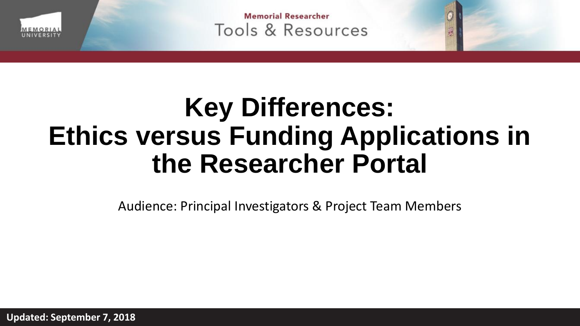

**Memorial Researcher** Tools & Resources

# **Key Differences: Ethics versus Funding Applications in the Researcher Portal**

Audience: Principal Investigators & Project Team Members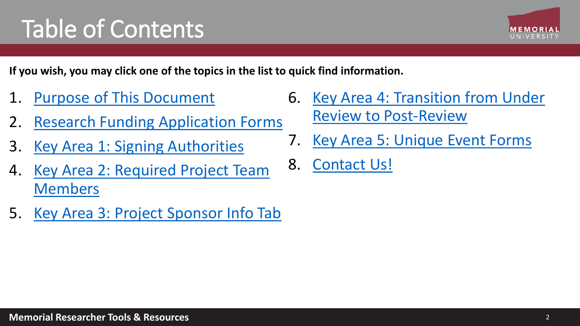#### **Memorial Researcher Tools & Resources**

#### **If you wish, you may click one of the topics in the list to quick find information.**

1. [Purpose of This Document](#page-2-0)

Table of Contents

- 2. [Research Funding Application Forms](#page-4-0)
- 3. [Key Area 1: Signing Authorities](#page-6-0)
- 4. [Key Area 2: Required Project Team](#page-11-0)  Members
- 5. [Key Area 3: Project Sponsor Info Tab](#page-14-0)
- 6. [Key Area 4: Transition from Under](#page-16-0) Review to Post-Review
- 7. [Key Area 5: Unique Event Forms](#page-17-0)
- 8. [Contact Us!](#page-18-0)



2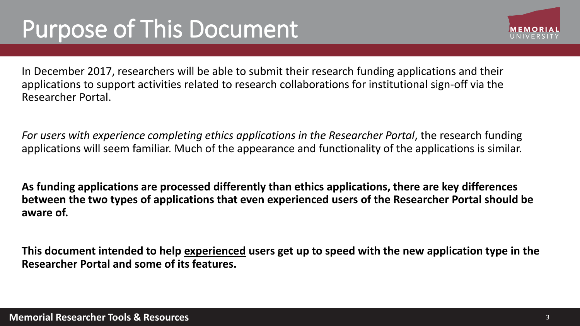### <span id="page-2-0"></span>Purpose of This Document



In December 2017, researchers will be able to submit their research funding applications and their applications to support activities related to research collaborations for institutional sign-off via the Researcher Portal.

*For users with experience completing ethics applications in the Researcher Portal*, the research funding applications will seem familiar. Much of the appearance and functionality of the applications is similar.

**As funding applications are processed differently than ethics applications, there are key differences between the two types of applications that even experienced users of the Researcher Portal should be aware of.** 

**This document intended to help experienced users get up to speed with the new application type in the Researcher Portal and some of its features.**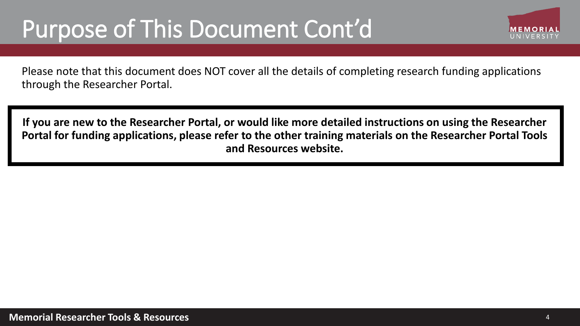### Purpose of This Document Cont'd



Please note that this document does NOT cover all the details of completing research funding applications through the Researcher Portal.

**If you are new to the Researcher Portal, or would like more detailed instructions on using the Researcher Portal for funding applications, please refer to the other training materials on the Researcher Portal Tools and Resources website.**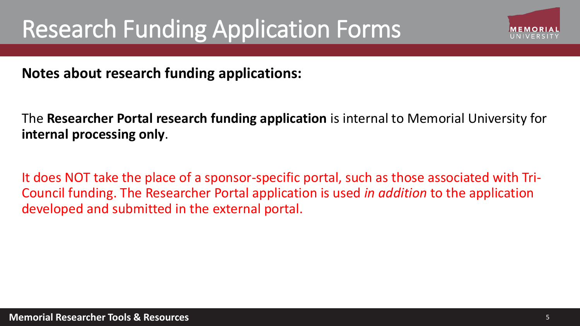### <span id="page-4-0"></span>Research Funding Application Forms



**Notes about research funding applications:**

The **Researcher Portal research funding application** is internal to Memorial University for **internal processing only**.

It does NOT take the place of a sponsor-specific portal, such as those associated with Tri-Council funding. The Researcher Portal application is used *in addition* to the application developed and submitted in the external portal.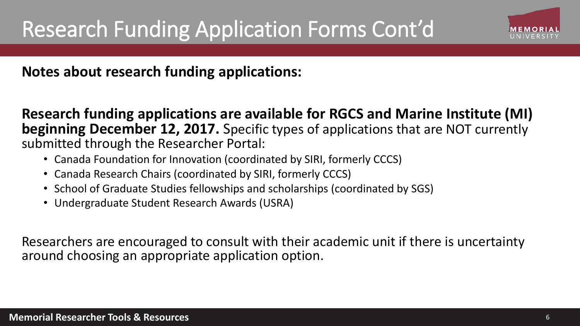

**Notes about research funding applications:**

**Research funding applications are available for RGCS and Marine Institute (MI) beginning December 12, 2017.** Specific types of applications that are NOT currently submitted through the Researcher Portal:

- Canada Foundation for Innovation (coordinated by SIRI, formerly CCCS)
- Canada Research Chairs (coordinated by SIRI, formerly CCCS)
- School of Graduate Studies fellowships and scholarships (coordinated by SGS)
- Undergraduate Student Research Awards (USRA)

Researchers are encouraged to consult with their academic unit if there is uncertainty around choosing an appropriate application option.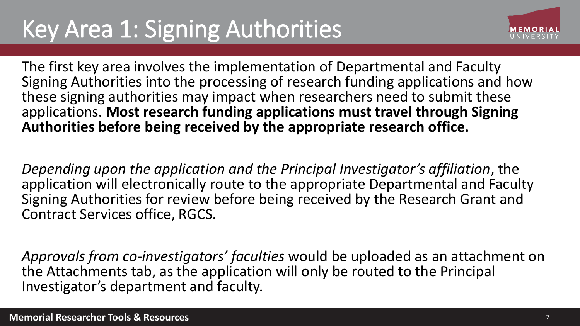# <span id="page-6-0"></span>Key Area 1: Signing Authorities



The first key area involves the implementation of Departmental and Faculty Signing Authorities into the processing of research funding applications and how these signing authorities may impact when researchers need to submit these applications. **Most research funding applications must travel through Signing Authorities before being received by the appropriate research office.**

*Depending upon the application and the Principal Investigator's affiliation*, the application will electronically route to the appropriate Departmental and Faculty Signing Authorities for review before being received by the Research Grant and Contract Services office, RGCS.

*Approvals from co-investigators' faculties* would be uploaded as an attachment on the Attachments tab, as the application will only be routed to the Principal Investigator's department and faculty.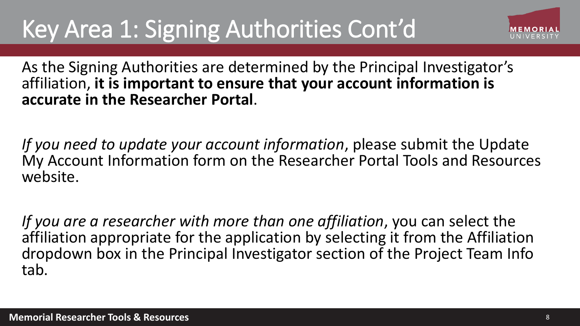

As the Signing Authorities are determined by the Principal Investigator's affiliation, **it is important to ensure that your account information is accurate in the Researcher Portal**.

*If you need to update your account information*, please submit the Update My Account Information form on the Researcher Portal Tools and Resources website.

*If you are a researcher with more than one affiliation*, you can select the affiliation appropriate for the application by selecting it from the Affiliation dropdown box in the Principal Investigator section of the Project Team Info tab.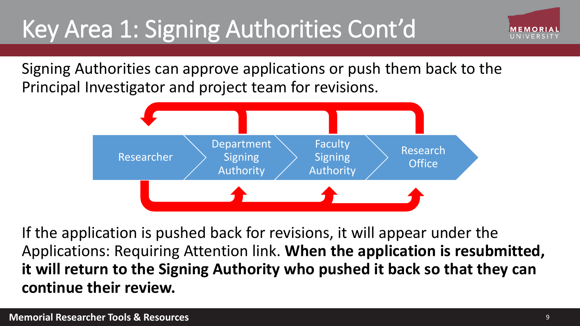

Signing Authorities can approve applications or push them back to the Principal Investigator and project team for revisions.



If the application is pushed back for revisions, it will appear under the Applications: Requiring Attention link. **When the application is resubmitted, it will return to the Signing Authority who pushed it back so that they can continue their review.**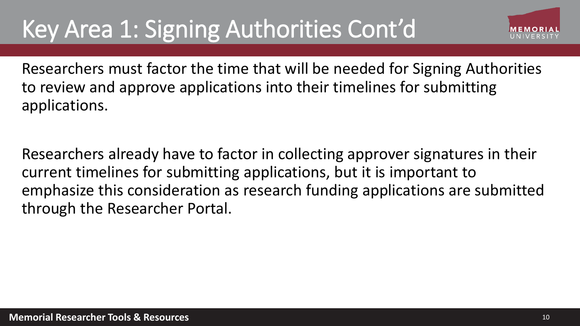

Researchers must factor the time that will be needed for Signing Authorities to review and approve applications into their timelines for submitting applications.

Researchers already have to factor in collecting approver signatures in their current timelines for submitting applications, but it is important to emphasize this consideration as research funding applications are submitted through the Researcher Portal.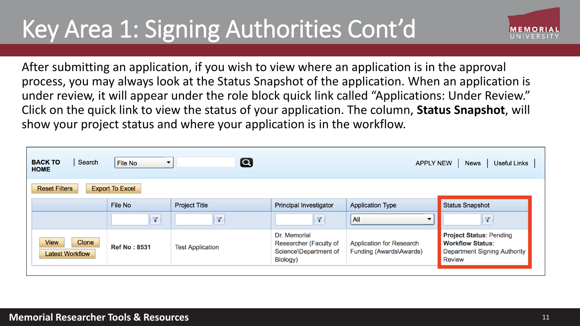

After submitting an application, if you wish to view where an application is in the approval process, you may always look at the Status Snapshot of the application. When an application is under review, it will appear under the role block quick link called "Applications: Under Review." Click on the quick link to view the status of your application. The column, **Status Snapshot**, will show your project status and where your application is in the workflow.

| $\boldsymbol{\Omega}$<br><b>BACK TO</b><br>Search<br>File No<br><b>Useful Links</b><br><b>APPLY NEW</b><br><b>News</b><br>▼<br><b>HOME</b> |                     |                         |                                                                             |                                                            |                                                                                                            |  |
|--------------------------------------------------------------------------------------------------------------------------------------------|---------------------|-------------------------|-----------------------------------------------------------------------------|------------------------------------------------------------|------------------------------------------------------------------------------------------------------------|--|
| <b>Reset Filters</b><br><b>Export To Excel</b>                                                                                             |                     |                         |                                                                             |                                                            |                                                                                                            |  |
|                                                                                                                                            | File No             | <b>Project Title</b>    | Principal Investigator                                                      | <b>Application Type</b>                                    | <b>Status Snapshot</b>                                                                                     |  |
|                                                                                                                                            | Y                   | Y                       | Y                                                                           | <b>All</b><br>▼                                            | Y                                                                                                          |  |
| <b>Clone</b><br><b>View</b><br><b>Latest Workflow</b>                                                                                      | <b>Ref No: 8531</b> | <b>Test Application</b> | Dr. Memorial<br>Researcher (Faculty of<br>Science\Department of<br>Biology) | <b>Application for Research</b><br>Funding (Awards\Awards) | <b>Project Status: Pending</b><br><b>Workflow Status:</b><br>Department Signing Authority<br><b>Review</b> |  |
|                                                                                                                                            |                     |                         |                                                                             |                                                            |                                                                                                            |  |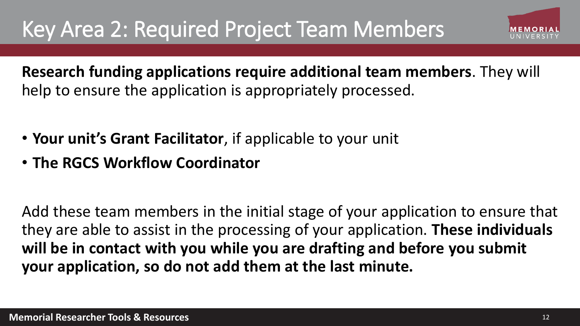

<span id="page-11-0"></span>**Research funding applications require additional team members**. They will help to ensure the application is appropriately processed.

- **Your unit's Grant Facilitator**, if applicable to your unit
- **The RGCS Workflow Coordinator**

Add these team members in the initial stage of your application to ensure that they are able to assist in the processing of your application. **These individuals will be in contact with you while you are drafting and before you submit your application, so do not add them at the last minute.**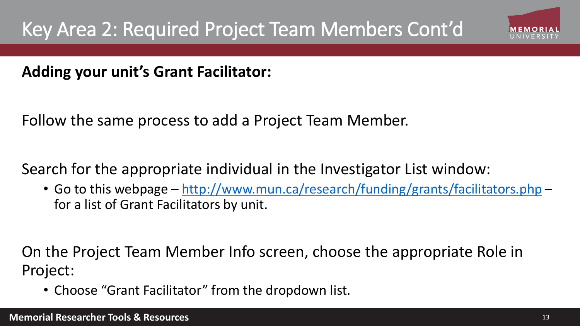

**Adding your unit's Grant Facilitator:**

Follow the same process to add a Project Team Member.

Search for the appropriate individual in the Investigator List window:

• Go to this webpage – <http://www.mun.ca/research/funding/grants/facilitators.php> – for a list of Grant Facilitators by unit.

On the Project Team Member Info screen, choose the appropriate Role in Project:

• Choose "Grant Facilitator" from the dropdown list.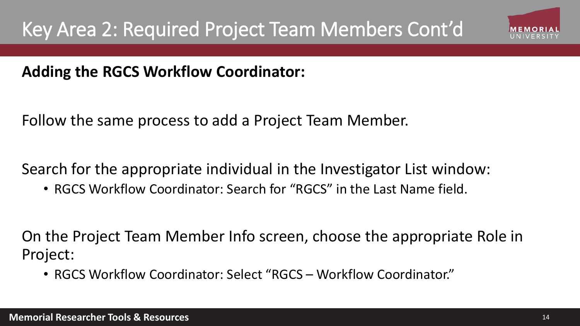

#### **Adding the RGCS Workflow Coordinator:**

Follow the same process to add a Project Team Member.

Search for the appropriate individual in the Investigator List window:

• RGCS Workflow Coordinator: Search for "RGCS" in the Last Name field.

On the Project Team Member Info screen, choose the appropriate Role in Project:

• RGCS Workflow Coordinator: Select "RGCS – Workflow Coordinator."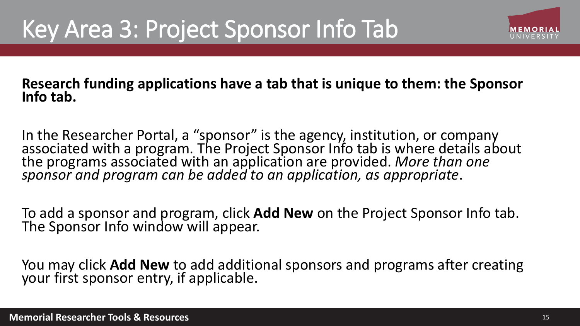### <span id="page-14-0"></span>Key Area 3: Project Sponsor Info Tab



In the Researcher Portal, a "sponsor" is the agency, institution, or company associated with a program. The Project Sponsor Info tab is where details about the programs associated with an application are provided. *More than one sponsor and program can be added to an application, as appropriate*.

To add a sponsor and program, click **Add New** on the Project Sponsor Info tab. The Sponsor Info window will appear.

You may click **Add New** to add additional sponsors and programs after creating your first sponsor entry, if applicable.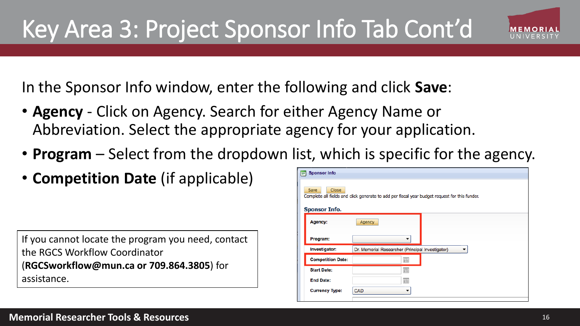

In the Sponsor Info window, enter the following and click **Save**:

- **Agency** Click on Agency. Search for either Agency Name or Abbreviation. Select the appropriate agency for your application.
- **Program** Select from the dropdown list, which is specific for the agency.
- **Competition Date** (if applicable)

If you cannot locate the program you need, contact the RGCS Workflow Coordinator (**RGCSworkflow@mun.ca or 709.864.3805**) for assistance.

| <b>Sponsor Info</b><br>⊫                                                                                                                      |                                                  |  |  |  |  |  |
|-----------------------------------------------------------------------------------------------------------------------------------------------|--------------------------------------------------|--|--|--|--|--|
| Close<br><b>Save</b><br>Complete all fields and click generate to add per fiscal year budget request for this funder.<br><b>Sponsor Info.</b> |                                                  |  |  |  |  |  |
| Agency:                                                                                                                                       | Agency                                           |  |  |  |  |  |
| Program:                                                                                                                                      |                                                  |  |  |  |  |  |
| Investigator:                                                                                                                                 | Dr. Memorial Researcher (Principal Investigator) |  |  |  |  |  |
| <b>Competition Date:</b>                                                                                                                      | 圃                                                |  |  |  |  |  |
| <b>Start Date:</b>                                                                                                                            | 圃                                                |  |  |  |  |  |
| <b>End Date:</b>                                                                                                                              | 囲                                                |  |  |  |  |  |
| <b>Currency Type:</b>                                                                                                                         | <b>CAD</b>                                       |  |  |  |  |  |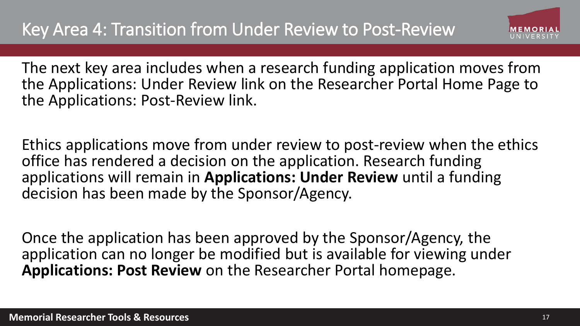

<span id="page-16-0"></span>The next key area includes when a research funding application moves from the Applications: Under Review link on the Researcher Portal Home Page to the Applications: Post-Review link.

Ethics applications move from under review to post-review when the ethics office has rendered a decision on the application. Research funding applications will remain in **Applications: Under Review** until a funding decision has been made by the Sponsor/Agency.

Once the application has been approved by the Sponsor/Agency, the application can no longer be modified but is available for viewing under **Applications: Post Review** on the Researcher Portal homepage.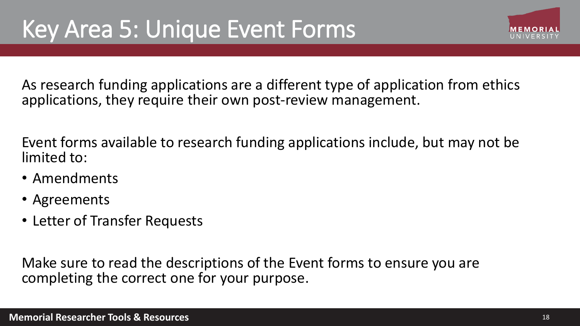<span id="page-17-0"></span>As research funding applications are a different type of application from ethics applications, they require their own post-review management.

Event forms available to research funding applications include, but may not be limited to:

- Amendments
- Agreements
- Letter of Transfer Requests

Make sure to read the descriptions of the Event forms to ensure you are completing the correct one for your purpose.